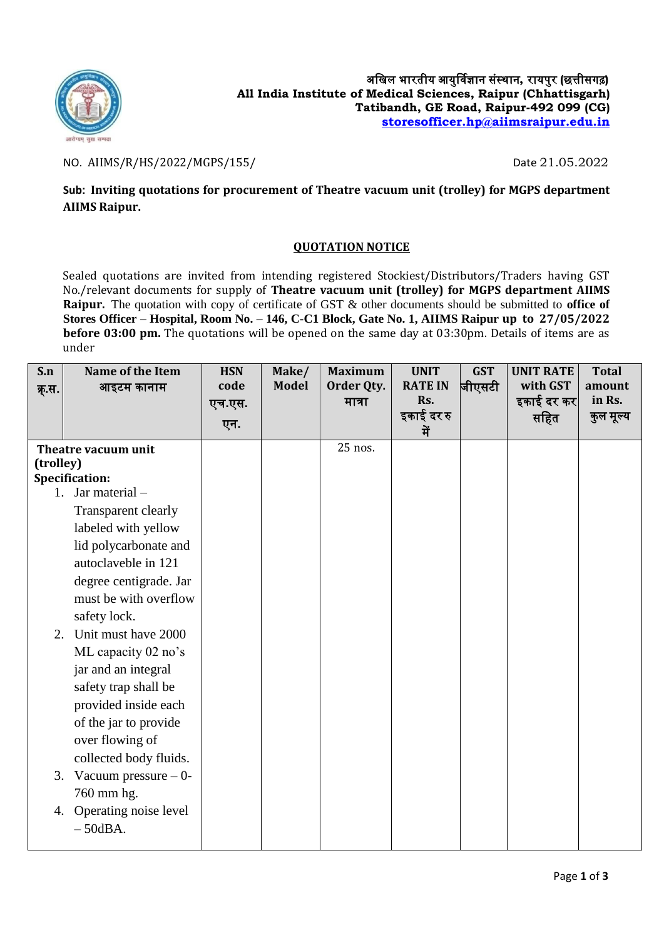

## NO. AIIMS/R/HS/2022/MGPS/155/ Date 21.05.2022

**Sub: Inviting quotations for procurement of Theatre vacuum unit (trolley) for MGPS department AIIMS Raipur.**

## **QUOTATION NOTICE**

Sealed quotations are invited from intending registered Stockiest/Distributors/Traders having GST No./relevant documents for supply of **Theatre vacuum unit (trolley) for MGPS department AIIMS Raipur.** The quotation with copy of certificate of GST & other documents should be submitted to **office of Stores Officer – Hospital, Room No. – 146, C-C1 Block, Gate No. 1, AIIMS Raipur up to 27/05/2022 before 03:00 pm.** The quotations will be opened on the same day at 03:30pm. Details of items are as under

| S.n       | Name of the Item          | <b>HSN</b> | Make/        | <b>Maximum</b> | <b>UNIT</b>       | <b>GST</b> | <b>UNIT RATE</b> | <b>Total</b> |
|-----------|---------------------------|------------|--------------|----------------|-------------------|------------|------------------|--------------|
| क्.स.     | आइटम कानाम                | code       | <b>Model</b> | Order Qty.     | <b>RATE IN</b>    | ∣जीएसटी    | with GST         | amount       |
|           |                           | एच.एस.     |              | मात्रा         | Rs.<br>इकाई दर रु |            | इकाई दर कर       | in Rs.       |
|           |                           | एन.        |              |                | में               |            | सहित             | कुल मूल्य    |
|           | Theatre vacuum unit       |            |              | 25 nos.        |                   |            |                  |              |
| (trolley) |                           |            |              |                |                   |            |                  |              |
|           | <b>Specification:</b>     |            |              |                |                   |            |                  |              |
|           | 1. Jar material -         |            |              |                |                   |            |                  |              |
|           | Transparent clearly       |            |              |                |                   |            |                  |              |
|           | labeled with yellow       |            |              |                |                   |            |                  |              |
|           | lid polycarbonate and     |            |              |                |                   |            |                  |              |
|           | autoclaveble in 121       |            |              |                |                   |            |                  |              |
|           | degree centigrade. Jar    |            |              |                |                   |            |                  |              |
|           | must be with overflow     |            |              |                |                   |            |                  |              |
|           | safety lock.              |            |              |                |                   |            |                  |              |
|           | 2. Unit must have 2000    |            |              |                |                   |            |                  |              |
|           | ML capacity 02 no's       |            |              |                |                   |            |                  |              |
|           | jar and an integral       |            |              |                |                   |            |                  |              |
|           | safety trap shall be      |            |              |                |                   |            |                  |              |
|           | provided inside each      |            |              |                |                   |            |                  |              |
|           | of the jar to provide     |            |              |                |                   |            |                  |              |
|           | over flowing of           |            |              |                |                   |            |                  |              |
|           | collected body fluids.    |            |              |                |                   |            |                  |              |
|           | 3. Vacuum pressure $-0$ - |            |              |                |                   |            |                  |              |
|           | 760 mm hg.                |            |              |                |                   |            |                  |              |
| 4.        | Operating noise level     |            |              |                |                   |            |                  |              |
|           | $-50$ dBA.                |            |              |                |                   |            |                  |              |
|           |                           |            |              |                |                   |            |                  |              |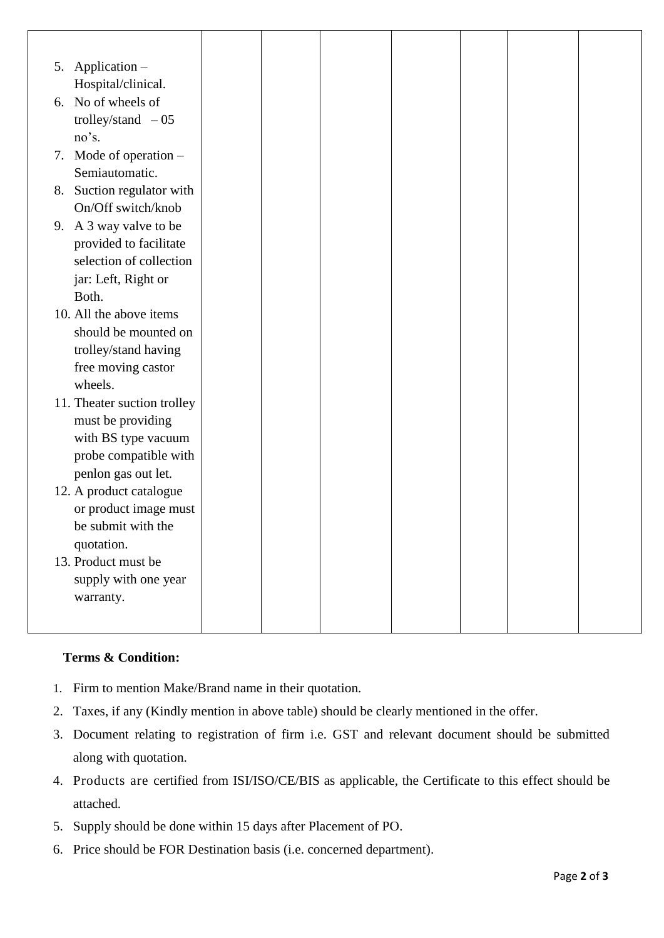| 5. | Application -               |  |  |  |
|----|-----------------------------|--|--|--|
|    | Hospital/clinical.          |  |  |  |
|    | 6. No of wheels of          |  |  |  |
|    | trolley/stand $-05$         |  |  |  |
|    | no's.                       |  |  |  |
|    | 7. Mode of operation $-$    |  |  |  |
|    | Semiautomatic.              |  |  |  |
|    | 8. Suction regulator with   |  |  |  |
|    | On/Off switch/knob          |  |  |  |
|    | 9. A 3 way valve to be      |  |  |  |
|    | provided to facilitate      |  |  |  |
|    | selection of collection     |  |  |  |
|    | jar: Left, Right or         |  |  |  |
|    | Both.                       |  |  |  |
|    | 10. All the above items     |  |  |  |
|    | should be mounted on        |  |  |  |
|    | trolley/stand having        |  |  |  |
|    | free moving castor          |  |  |  |
|    | wheels.                     |  |  |  |
|    | 11. Theater suction trolley |  |  |  |
|    | must be providing           |  |  |  |
|    | with BS type vacuum         |  |  |  |
|    | probe compatible with       |  |  |  |
|    | penlon gas out let.         |  |  |  |
|    | 12. A product catalogue     |  |  |  |
|    | or product image must       |  |  |  |
|    | be submit with the          |  |  |  |
|    | quotation.                  |  |  |  |
|    | 13. Product must be         |  |  |  |
|    | supply with one year        |  |  |  |
|    | warranty.                   |  |  |  |
|    |                             |  |  |  |
|    |                             |  |  |  |

## **Terms & Condition:**

- 1. Firm to mention Make/Brand name in their quotation.
- 2. Taxes, if any (Kindly mention in above table) should be clearly mentioned in the offer.
- 3. Document relating to registration of firm i.e. GST and relevant document should be submitted along with quotation.
- 4. Products are certified from ISI/ISO/CE/BIS as applicable, the Certificate to this effect should be attached.
- 5. Supply should be done within 15 days after Placement of PO.
- 6. Price should be FOR Destination basis (i.e. concerned department).